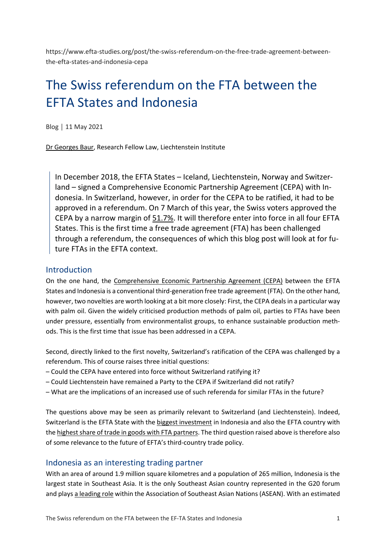https://www.efta-studies.org/post/the-swiss-referendum-on-the-free-trade-agreement-betweenthe-efta-states-and-indonesia-cepa

# The Swiss referendum on the FTA between the EFTA States and Indonesia

Blog │ 11 May 2021

[Dr Georges Baur,](https://www.liechtenstein-institut.li/en/people/dr-georges-baur) Research Fellow Law, Liechtenstein Institute

In December 2018, the EFTA States – Iceland, Liechtenstein, Norway and Switzerland – signed a Comprehensive Economic Partnership Agreement (CEPA) with Indonesia. In Switzerland, however, in order for the CEPA to be ratified, it had to be approved in a referendum. On 7 March of this year, the Swiss voters approved the CEPA by a narrow margin of [51.7%.](https://lenews.ch/2021/03/07/swiss-vote-in-favour-of-face-covering-ban-and-indonesian-trade-deal-but-not-e-id-7-mar-2021/) It will therefore enter into force in all four EFTA States. This is the first time a free trade agreement (FTA) has been challenged through a referendum, the consequences of which this blog post will look at for future FTAs in the EFTA context.

#### Introduction

On the one hand, the [Comprehensive Economic Partnership Agreement \(CEPA\)](https://www.efta.int/sites/default/files/documents/legal-texts/free-trade-relations/indonesia/efta-indonesia-main-agreement.pdf) between the EFTA States and Indonesia is a conventional third-generation free trade agreement (FTA). On the other hand, however, two novelties are worth looking at a bit more closely: First, the CEPA deals in a particular way with palm oil. Given the widely criticised production methods of palm oil, parties to FTAs have been under pressure, essentially from environmentalist groups, to enhance sustainable production methods. This is the first time that issue has been addressed in a CEPA.

Second, directly linked to the first novelty, Switzerland's ratification of the CEPA was challenged by a referendum. This of course raises three initial questions:

- Could the CEPA have entered into force without Switzerland ratifying it?
- Could Liechtenstein have remained a Party to the CEPA if Switzerland did not ratify?
- What are the implications of an increased use of such referenda for similar FTAs in the future?

The questions above may be seen as primarily relevant to Switzerland (and Liechtenstein). Indeed, Switzerland is the EFTA State with the [biggest investment](http://trade.efta.int/#/country-graph/EFTA/ID/2020/HS2) in Indonesia and also the EFTA country with the [highest share of trade in goods with FTA partners.](https://www.efta.int/sites/default/files/publications/fact-sheets/General-EFTA-fact-sheets/eftas-free-trade-relations-faqs-sept-2018.pdf) The third question raised above is therefore also of some relevance to the future of EFTA's third-country trade policy.

#### Indonesia as an interesting trading partner

With an area of around 1.9 million square kilometres and a population of 265 million, Indonesia is the largest state in Southeast Asia. It is the only Southeast Asian country represented in the G20 forum and plays [a leading role](https://www.jstor.org/stable/26531493?seq=1) within the Association of Southeast Asian Nations (ASEAN). With an estimated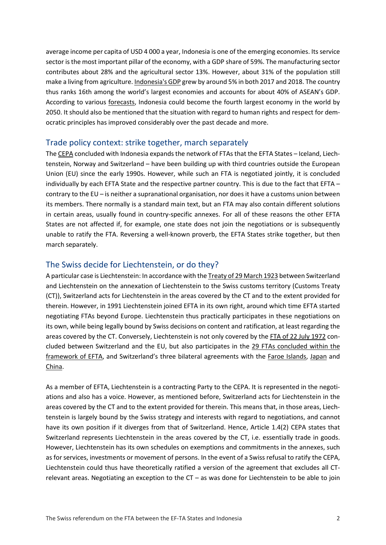average income per capita of USD 4 000 a year, Indonesia is one of the emerging economies. Its service sector is the most important pillar of the economy, with a GDP share of 59%. The manufacturing sector contributes about 28% and the agricultural sector 13%. However, about 31% of the population still make a living from agriculture[. Indonesia's GDP](https://www.imf.org/-/media/Files/Publications/CR/2019/1IDNEA2019001.ashx) grew by around 5% in both 2017 and 2018. The country thus ranks 16th among the world's largest economies and accounts for about 40% of ASEAN's GDP. According to various [forecasts,](https://www.pwc.com/gx/en/research-insights/economy/the-world-in-2050.html#downloads) Indonesia could become the fourth largest economy in the world by 2050. It should also be mentioned that the situation with regard to human rights and respect for democratic principles has improved considerably over the past decade and more.

#### Trade policy context: strike together, march separately

Th[e CEPA](https://www.efta.int/sites/default/files/documents/legal-texts/free-trade-relations/indonesia/efta-indonesia-main-agreement.pdf) concluded with Indonesia expands the network of FTAs that the EFTA States – Iceland, Liechtenstein, Norway and Switzerland – have been building up with third countries outside the European Union (EU) since the early 1990s. However, while such an FTA is negotiated jointly, it is concluded individually by each EFTA State and the respective partner country. This is due to the fact that EFTA – contrary to the EU – is neither a supranational organisation, nor does it have a customs union between its members. There normally is a standard main text, but an FTA may also contain different solutions in certain areas, usually found in country-specific annexes. For all of these reasons the other EFTA States are not affected if, for example, one state does not join the negotiations or is subsequently unable to ratify the FTA. Reversing a well-known proverb, the EFTA States strike together, but then march separately.

#### The Swiss decide for Liechtenstein, or do they?

A particular case is Liechtenstein: In accordance with th[e Treaty of 29 March 1923](https://www.regierung.li/files/medienarchiv/0_631_112_08_10_2020_en_rev_.pdf) between Switzerland and Liechtenstein on the annexation of Liechtenstein to the Swiss customs territory (Customs Treaty (CT)), Switzerland acts for Liechtenstein in the areas covered by the CT and to the extent provided for therein. However, in 1991 Liechtenstein joined EFTA in its own right, around which time EFTA started negotiating FTAs beyond Europe. Liechtenstein thus practically participates in these negotiations on its own, while being legally bound by Swiss decisions on content and ratification, at least regarding the areas covered by the CT. Conversely, Liechtenstein is not only covered by the FTA [of 22 July 1972](https://eur-lex.europa.eu/legal-content/EN/TXT/PDF/?uri=CELEX:01972A0722(03)-20160201&from=EN) concluded between Switzerland and the EU, but also participates in the [29 FTAs concluded within the](https://www.efta.int/free-trade/free-trade-agreements)  [framework of EFTA,](https://www.efta.int/free-trade/free-trade-agreements) and Switzerland's three bilateral agreements with the [Faroe Islands,](https://www.worldtradelaw.net/fta/agreements/farisswitzfta.pdf.download) [Japan](https://www.mofa.go.jp/region/europe/switzerland/epa0902/index.html) and [China.](https://www.seco.admin.ch/dam/seco/en/dokumente/Aussenwirtschaft/Wirtschaftsbeziehungen/Freihandelsabkommen/Partner%20weltweit/China/Abkommenstexte/Texts%20in%20English/Switzerland-China%20FTA%20-%20Main%20Agreement.pdf.download.pdf/Switzerland-China%20FTA%20-%20Main%20Agreement.pdf)

As a member of EFTA, Liechtenstein is a contracting Party to the CEPA. It is represented in the negotiations and also has a voice. However, as mentioned before, Switzerland acts for Liechtenstein in the areas covered by the CT and to the extent provided for therein. This means that, in those areas, Liechtenstein is largely bound by the Swiss strategy and interests with regard to negotiations, and cannot have its own position if it diverges from that of Switzerland. Hence, Article 1.4(2) CEPA states that Switzerland represents Liechtenstein in the areas covered by the CT, i.e. essentially trade in goods. However, Liechtenstein has its own schedules on exemptions and commitments in the annexes, such as for services, investments or movement of persons. In the event of a Swiss refusal to ratify the CEPA, Liechtenstein could thus have theoretically ratified a version of the agreement that excludes all CTrelevant areas. Negotiating an exception to the CT – as was done for Liechtenstein to be able to join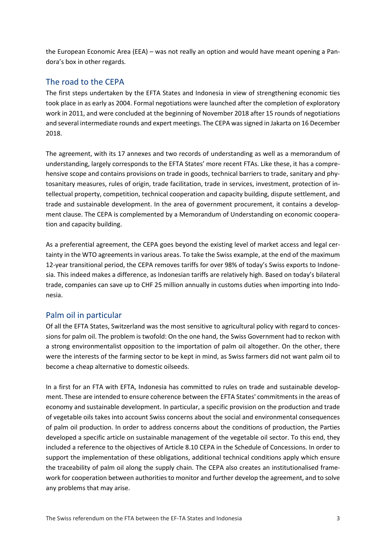the European Economic Area (EEA) – was not really an option and would have meant opening a Pandora's box in other regards.

# The road to the CEPA

The first steps undertaken by the EFTA States and Indonesia in view of strengthening economic ties took place in as early as 2004. Formal negotiations were launched after the completion of exploratory work in 2011, and were concluded at the beginning of November 2018 after 15 rounds of negotiations and several intermediate rounds and expert meetings. The CEPA was signed in Jakarta on 16 December 2018.

The agreement, with its 17 annexes and two records of understanding as well as a memorandum of understanding, largely corresponds to the EFTA States' more recent FTAs. Like these, it has a comprehensive scope and contains provisions on trade in goods, technical barriers to trade, sanitary and phytosanitary measures, rules of origin, trade facilitation, trade in services, investment, protection of intellectual property, competition, technical cooperation and capacity building, dispute settlement, and trade and sustainable development. In the area of government procurement, it contains a development clause. The CEPA is complemented by a Memorandum of Understanding on economic cooperation and capacity building.

As a preferential agreement, the CEPA goes beyond the existing level of market access and legal certainty in the WTO agreements in various areas. To take the Swiss example, at the end of the maximum 12-year transitional period, the CEPA removes tariffs for over 98% of today's Swiss exports to Indonesia. This indeed makes a difference, as Indonesian tariffs are relatively high. Based on today's bilateral trade, companies can save up to CHF 25 million annually in customs duties when importing into Indonesia.

# Palm oil in particular

Of all the EFTA States, Switzerland was the most sensitive to agricultural policy with regard to concessions for palm oil. The problem is twofold: On the one hand, the Swiss Government had to reckon with a strong environmentalist opposition to the importation of palm oil altogether. On the other, there were the interests of the farming sector to be kept in mind, as Swiss farmers did not want palm oil to become a cheap alternative to domestic oilseeds.

In a first for an FTA with EFTA, Indonesia has committed to rules on trade and sustainable development. These are intended to ensure coherence between the EFTA States' commitments in the areas of economy and sustainable development. In particular, a specific provision on the production and trade of vegetable oils takes into account Swiss concerns about the social and environmental consequences of palm oil production. In order to address concerns about the conditions of production, the Parties developed a specific article on sustainable management of the vegetable oil sector. To this end, they included a reference to the objectives of Article 8.10 CEPA in the Schedule of Concessions. In order to support the implementation of these obligations, additional technical conditions apply which ensure the traceability of palm oil along the supply chain. The CEPA also creates an institutionalised framework for cooperation between authorities to monitor and further develop the agreement, and to solve any problems that may arise.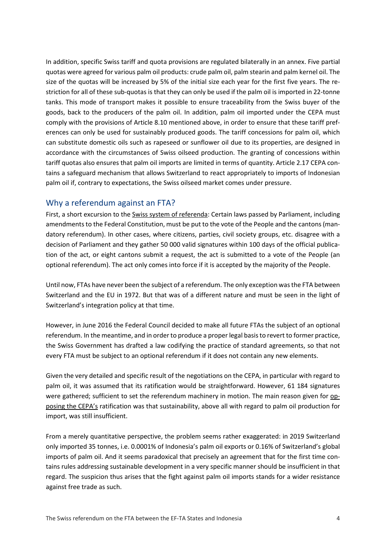In addition, specific Swiss tariff and quota provisions are regulated bilaterally in an annex. Five partial quotas were agreed for various palm oil products: crude palm oil, palm stearin and palm kernel oil. The size of the quotas will be increased by 5% of the initial size each year for the first five years. The restriction for all of these sub-quotas is that they can only be used if the palm oil is imported in 22-tonne tanks. This mode of transport makes it possible to ensure traceability from the Swiss buyer of the goods, back to the producers of the palm oil. In addition, palm oil imported under the CEPA must comply with the provisions of Article 8.10 mentioned above, in order to ensure that these tariff preferences can only be used for sustainably produced goods. The tariff concessions for palm oil, which can substitute domestic oils such as rapeseed or sunflower oil due to its properties, are designed in accordance with the circumstances of Swiss oilseed production. The granting of concessions within tariff quotas also ensures that palm oil imports are limited in terms of quantity. Article 2.17 CEPA contains a safeguard mechanism that allows Switzerland to react appropriately to imports of Indonesian palm oil if, contrary to expectations, the Swiss oilseed market comes under pressure.

# Why a referendum against an FTA?

First, a short excursion to the [Swiss system of referenda:](https://www.ch.ch/en/demokratie/political-rights/referendum/mandatory-referendums-and-optional-referendums-in-switzerlan/) Certain laws passed by Parliament, including amendments to the Federal Constitution, must be put to the vote of the People and the cantons (mandatory referendum). In other cases, where citizens, parties, civil society groups, etc. disagree with a decision of Parliament and they gather 50 000 valid signatures within 100 days of the official publication of the act, or eight cantons submit a request, the act is submitted to a vote of the People (an optional referendum). The act only comes into force if it is accepted by the majority of the People.

Until now, FTAs have never been the subject of a referendum. The only exception was the FTA between Switzerland and the EU in 1972. But that was of a different nature and must be seen in the light of Switzerland's integration policy at that time.

However, in June 2016 the Federal Council decided to make all future FTAs the subject of an optional referendum. In the meantime, and in order to produce a proper legal basis to revert to former practice, the Swiss Government has drafted a law codifying the practice of standard agreements, so that not every FTA must be subject to an optional referendum if it does not contain any new elements.

Given the very detailed and specific result of the negotiations on the CEPA, in particular with regard to palm oil, it was assumed that its ratification would be straightforward. However, 61 184 signatures were gathered; sufficient to set the referendum machinery in motion. The main reason given for [op](https://www.swissinfo.ch/eng/are-the-sustainability-criteria-in-the-swiss-trade-deal-with-indonesia-toothless-/46383574)[posing the CEPA's](https://www.swissinfo.ch/eng/are-the-sustainability-criteria-in-the-swiss-trade-deal-with-indonesia-toothless-/46383574) ratification was that sustainability, above all with regard to palm oil production for import, was still insufficient.

From a merely quantitative perspective, the problem seems rather exaggerated: in 2019 Switzerland only imported 35 tonnes, i.e. 0.0001% of Indonesia's palm oil exports or 0.16% of Switzerland's global imports of palm oil. And it seems paradoxical that precisely an agreement that for the first time contains rules addressing sustainable development in a very specific manner should be insufficient in that regard. The suspicion thus arises that the fight against palm oil imports stands for a wider resistance against free trade as such.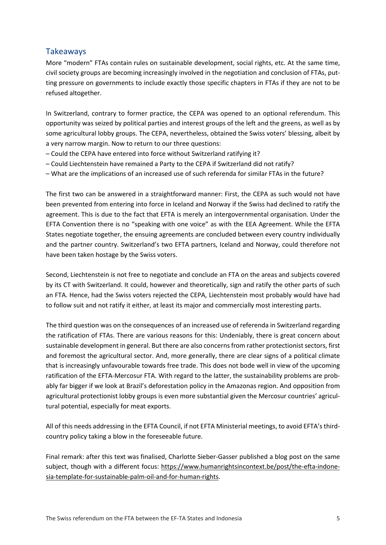# Takeaways

More "modern" FTAs contain rules on sustainable development, social rights, etc. At the same time, civil society groups are becoming increasingly involved in the negotiation and conclusion of FTAs, putting pressure on governments to include exactly those specific chapters in FTAs if they are not to be refused altogether.

In Switzerland, contrary to former practice, the CEPA was opened to an optional referendum. This opportunity was seized by political parties and interest groups of the left and the greens, as well as by some agricultural lobby groups. The CEPA, nevertheless, obtained the Swiss voters' blessing, albeit by a very narrow margin. Now to return to our three questions:

- Could the CEPA have entered into force without Switzerland ratifying it?
- Could Liechtenstein have remained a Party to the CEPA if Switzerland did not ratify?
- What are the implications of an increased use of such referenda for similar FTAs in the future?

The first two can be answered in a straightforward manner: First, the CEPA as such would not have been prevented from entering into force in Iceland and Norway if the Swiss had declined to ratify the agreement. This is due to the fact that EFTA is merely an intergovernmental organisation. Under the EFTA Convention there is no "speaking with one voice" as with the EEA Agreement. While the EFTA States negotiate together, the ensuing agreements are concluded between every country individually and the partner country. Switzerland's two EFTA partners, Iceland and Norway, could therefore not have been taken hostage by the Swiss voters.

Second, Liechtenstein is not free to negotiate and conclude an FTA on the areas and subjects covered by its CT with Switzerland. It could, however and theoretically, sign and ratify the other parts of such an FTA. Hence, had the Swiss voters rejected the CEPA, Liechtenstein most probably would have had to follow suit and not ratify it either, at least its major and commercially most interesting parts.

The third question was on the consequences of an increased use of referenda in Switzerland regarding the ratification of FTAs. There are various reasons for this: Undeniably, there is great concern about sustainable development in general. But there are also concerns from rather protectionist sectors, first and foremost the agricultural sector. And, more generally, there are clear signs of a political climate that is increasingly unfavourable towards free trade. This does not bode well in view of the upcoming ratification of the EFTA-Mercosur FTA. With regard to the latter, the sustainability problems are probably far bigger if we look at Brazil's deforestation policy in the Amazonas region. And opposition from agricultural protectionist lobby groups is even more substantial given the Mercosur countries' agricultural potential, especially for meat exports.

All of this needs addressing in the EFTA Council, if not EFTA Ministerial meetings, to avoid EFTA's thirdcountry policy taking a blow in the foreseeable future.

Final remark: after this text was finalised, Charlotte Sieber-Gasser published a blog post on the same subject, though with a different focus: [https://www.humanrightsincontext.be/post/the-efta-indone](https://www.humanrightsincontext.be/post/the-efta-indonesia-template-for-sustainable-palm-oil-and-for-human-rights)[sia-template-for-sustainable-palm-oil-and-for-human-rights.](https://www.humanrightsincontext.be/post/the-efta-indonesia-template-for-sustainable-palm-oil-and-for-human-rights)